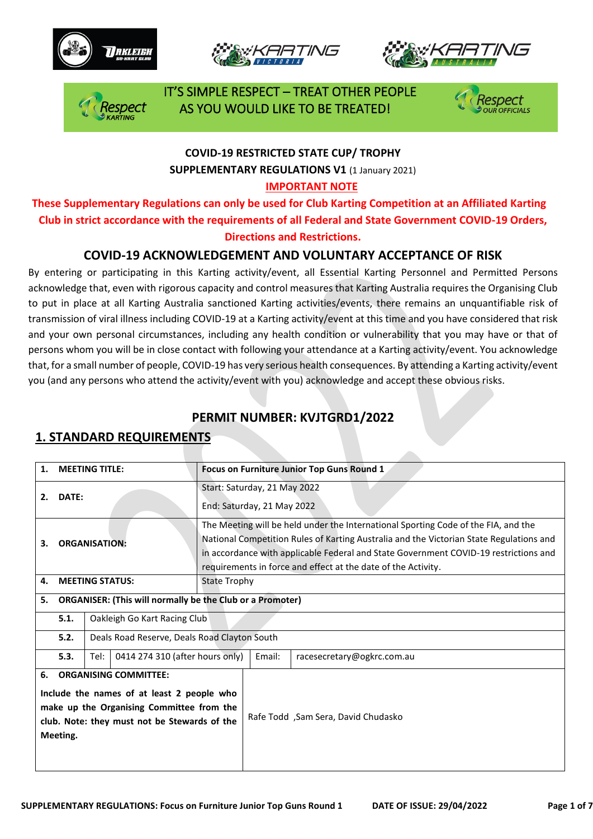







 IT'S SIMPLE RESPECT – TREAT OTHER PEOPLE AS YOU WOULD LIKE TO BE TREATED!



# **COVID-19 RESTRICTED STATE CUP/ TROPHY SUPPLEMENTARY REGULATIONS V1** (1 January 2021)

#### **IMPORTANT NOTE**

**These Supplementary Regulations can only be used for Club Karting Competition at an Affiliated Karting Club in strict accordance with the requirements of all Federal and State Government COVID-19 Orders, Directions and Restrictions.** 

### **COVID-19 ACKNOWLEDGEMENT AND VOLUNTARY ACCEPTANCE OF RISK**

By entering or participating in this Karting activity/event, all Essential Karting Personnel and Permitted Persons acknowledge that, even with rigorous capacity and control measures that Karting Australia requires the Organising Club to put in place at all Karting Australia sanctioned Karting activities/events, there remains an unquantifiable risk of transmission of viral illness including COVID-19 at a Karting activity/event at this time and you have considered that risk and your own personal circumstances, including any health condition or vulnerability that you may have or that of persons whom you will be in close contact with following your attendance at a Karting activity/event. You acknowledge that, for a small number of people, COVID-19 has very serious health consequences. By attending a Karting activity/event you (and any persons who attend the activity/event with you) acknowledge and accept these obvious risks.

### **PERMIT NUMBER: KVJTGRD1/2022**

### **1. STANDARD REQUIREMENTS**

| 1.                                                                                                                                                                                        | <b>MEETING TITLE:</b>  |                              |                                              |                                                            | Focus on Furniture Junior Top Guns Round 1                                                                                                                                                                                                                                                                                             |                                     |  |  |  |
|-------------------------------------------------------------------------------------------------------------------------------------------------------------------------------------------|------------------------|------------------------------|----------------------------------------------|------------------------------------------------------------|----------------------------------------------------------------------------------------------------------------------------------------------------------------------------------------------------------------------------------------------------------------------------------------------------------------------------------------|-------------------------------------|--|--|--|
| 2.                                                                                                                                                                                        | <b>DATE:</b>           |                              |                                              | Start: Saturday, 21 May 2022<br>End: Saturday, 21 May 2022 |                                                                                                                                                                                                                                                                                                                                        |                                     |  |  |  |
| З.                                                                                                                                                                                        | <b>ORGANISATION:</b>   |                              |                                              |                                                            | The Meeting will be held under the International Sporting Code of the FIA, and the<br>National Competition Rules of Karting Australia and the Victorian State Regulations and<br>in accordance with applicable Federal and State Government COVID-19 restrictions and<br>requirements in force and effect at the date of the Activity. |                                     |  |  |  |
| 4.                                                                                                                                                                                        | <b>MEETING STATUS:</b> |                              |                                              | <b>State Trophy</b>                                        |                                                                                                                                                                                                                                                                                                                                        |                                     |  |  |  |
| <b>ORGANISER: (This will normally be the Club or a Promoter)</b><br>5.                                                                                                                    |                        |                              |                                              |                                                            |                                                                                                                                                                                                                                                                                                                                        |                                     |  |  |  |
|                                                                                                                                                                                           | 5.1.                   | Oakleigh Go Kart Racing Club |                                              |                                                            |                                                                                                                                                                                                                                                                                                                                        |                                     |  |  |  |
|                                                                                                                                                                                           | 5.2.                   |                              | Deals Road Reserve, Deals Road Clayton South |                                                            |                                                                                                                                                                                                                                                                                                                                        |                                     |  |  |  |
|                                                                                                                                                                                           | 5.3.                   | Tel:                         | 0414 274 310 (after hours only)              |                                                            | Email:                                                                                                                                                                                                                                                                                                                                 | racesecretary@ogkrc.com.au          |  |  |  |
| <b>ORGANISING COMMITTEE:</b><br>6.<br>Include the names of at least 2 people who<br>make up the Organising Committee from the<br>club. Note: they must not be Stewards of the<br>Meeting. |                        |                              |                                              |                                                            |                                                                                                                                                                                                                                                                                                                                        | Rafe Todd, Sam Sera, David Chudasko |  |  |  |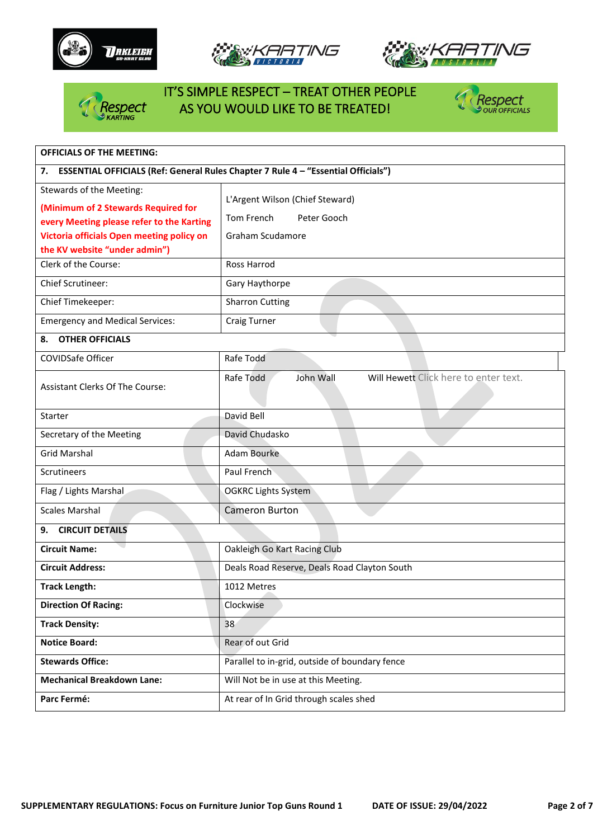







# IT'S SIMPLE RESPECT – TREAT OTHER PEOPLE Respect AS YOU WOULD LIKE TO BE TREATED!



| <b>OFFICIALS OF THE MEETING:</b>                      |                                                                                   |  |  |  |  |  |  |
|-------------------------------------------------------|-----------------------------------------------------------------------------------|--|--|--|--|--|--|
| 7.                                                    | ESSENTIAL OFFICIALS (Ref: General Rules Chapter 7 Rule 4 - "Essential Officials") |  |  |  |  |  |  |
| Stewards of the Meeting:                              |                                                                                   |  |  |  |  |  |  |
| (Minimum of 2 Stewards Required for                   | L'Argent Wilson (Chief Steward)                                                   |  |  |  |  |  |  |
| every Meeting please refer to the Karting             | Tom French<br>Peter Gooch                                                         |  |  |  |  |  |  |
| Victoria officials Open meeting policy on             | Graham Scudamore                                                                  |  |  |  |  |  |  |
| the KV website "under admin")<br>Clerk of the Course: | Ross Harrod                                                                       |  |  |  |  |  |  |
| <b>Chief Scrutineer:</b>                              | Gary Haythorpe                                                                    |  |  |  |  |  |  |
|                                                       |                                                                                   |  |  |  |  |  |  |
| Chief Timekeeper:                                     | <b>Sharron Cutting</b>                                                            |  |  |  |  |  |  |
| <b>Emergency and Medical Services:</b>                | <b>Craig Turner</b>                                                               |  |  |  |  |  |  |
| <b>OTHER OFFICIALS</b><br>8.                          |                                                                                   |  |  |  |  |  |  |
| COVIDSafe Officer                                     | Rafe Todd                                                                         |  |  |  |  |  |  |
| <b>Assistant Clerks Of The Course:</b>                | Will Hewett Click here to enter text.<br>John Wall<br>Rafe Todd                   |  |  |  |  |  |  |
| Starter                                               | David Bell                                                                        |  |  |  |  |  |  |
| Secretary of the Meeting                              | David Chudasko                                                                    |  |  |  |  |  |  |
| <b>Grid Marshal</b>                                   | <b>Adam Bourke</b>                                                                |  |  |  |  |  |  |
| <b>Scrutineers</b>                                    | Paul French                                                                       |  |  |  |  |  |  |
| Flag / Lights Marshal                                 | <b>OGKRC Lights System</b>                                                        |  |  |  |  |  |  |
| <b>Scales Marshal</b>                                 | <b>Cameron Burton</b>                                                             |  |  |  |  |  |  |
| <b>CIRCUIT DETAILS</b><br>9.                          |                                                                                   |  |  |  |  |  |  |
| <b>Circuit Name:</b>                                  | Oakleigh Go Kart Racing Club                                                      |  |  |  |  |  |  |
| <b>Circuit Address:</b>                               | Deals Road Reserve, Deals Road Clayton South                                      |  |  |  |  |  |  |
| <b>Track Length:</b>                                  | 1012 Metres                                                                       |  |  |  |  |  |  |
| <b>Direction Of Racing:</b>                           | Clockwise                                                                         |  |  |  |  |  |  |
| <b>Track Density:</b>                                 | 38                                                                                |  |  |  |  |  |  |
| <b>Notice Board:</b>                                  | Rear of out Grid                                                                  |  |  |  |  |  |  |
| <b>Stewards Office:</b>                               | Parallel to in-grid, outside of boundary fence                                    |  |  |  |  |  |  |
| <b>Mechanical Breakdown Lane:</b>                     | Will Not be in use at this Meeting.                                               |  |  |  |  |  |  |
| Parc Fermé:                                           | At rear of In Grid through scales shed                                            |  |  |  |  |  |  |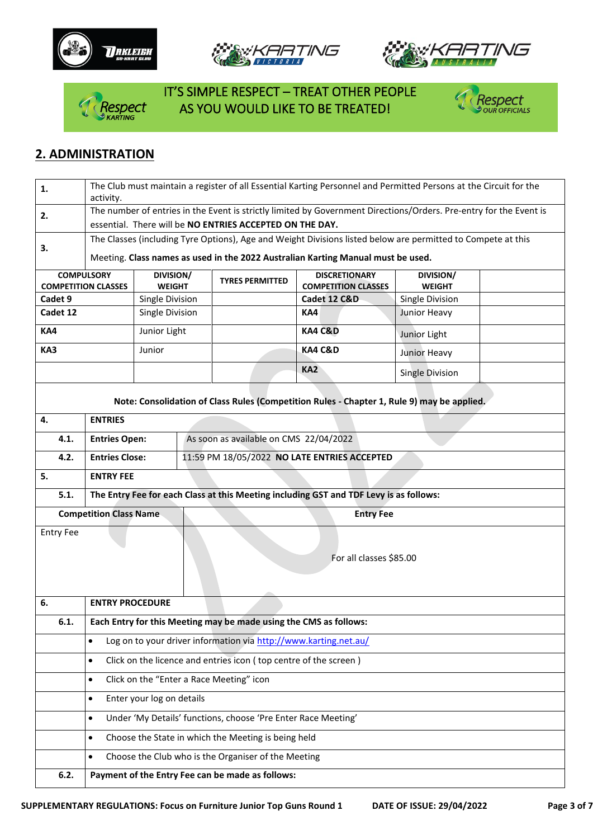







 IT'S SIMPLE RESPECT – TREAT OTHER PEOPLE **RESPECT AS YOU WOULD LIKE TO BE TREATED!** 



# **2. ADMINISTRATION**

| 1.               | The Club must maintain a register of all Essential Karting Personnel and Permitted Persons at the Circuit for the  |                 |                                              |                                                               |                                                                                            |                        |  |  |  |  |
|------------------|--------------------------------------------------------------------------------------------------------------------|-----------------|----------------------------------------------|---------------------------------------------------------------|--------------------------------------------------------------------------------------------|------------------------|--|--|--|--|
|                  | activity.                                                                                                          |                 |                                              |                                                               |                                                                                            |                        |  |  |  |  |
| 2.               | The number of entries in the Event is strictly limited by Government Directions/Orders. Pre-entry for the Event is |                 |                                              |                                                               |                                                                                            |                        |  |  |  |  |
|                  | essential. There will be NO ENTRIES ACCEPTED ON THE DAY.                                                           |                 |                                              |                                                               |                                                                                            |                        |  |  |  |  |
| 3.               | The Classes (including Tyre Options), Age and Weight Divisions listed below are permitted to Compete at this       |                 |                                              |                                                               |                                                                                            |                        |  |  |  |  |
|                  | Meeting. Class names as used in the 2022 Australian Karting Manual must be used.                                   |                 |                                              |                                                               |                                                                                            |                        |  |  |  |  |
|                  | <b>COMPULSORY</b>                                                                                                  | DIVISION/       |                                              |                                                               | <b>DISCRETIONARY</b>                                                                       | DIVISION/              |  |  |  |  |
|                  | <b>COMPETITION CLASSES</b>                                                                                         | <b>WEIGHT</b>   |                                              | <b>TYRES PERMITTED</b>                                        | <b>COMPETITION CLASSES</b>                                                                 | <b>WEIGHT</b>          |  |  |  |  |
| Cadet 9          |                                                                                                                    | Single Division |                                              |                                                               | Cadet 12 C&D                                                                               | Single Division        |  |  |  |  |
| Cadet 12         |                                                                                                                    | Single Division |                                              |                                                               | KA4                                                                                        | Junior Heavy           |  |  |  |  |
| KA4              |                                                                                                                    | Junior Light    |                                              | <b>KA4 C&amp;D</b>                                            |                                                                                            | Junior Light           |  |  |  |  |
| KA3              |                                                                                                                    | Junior          |                                              |                                                               | <b>KA4 C&amp;D</b>                                                                         | Junior Heavy           |  |  |  |  |
|                  |                                                                                                                    |                 |                                              |                                                               | KA <sub>2</sub>                                                                            | <b>Single Division</b> |  |  |  |  |
|                  |                                                                                                                    |                 |                                              |                                                               | Note: Consolidation of Class Rules (Competition Rules - Chapter 1, Rule 9) may be applied. |                        |  |  |  |  |
| 4.               | <b>ENTRIES</b>                                                                                                     |                 |                                              |                                                               |                                                                                            |                        |  |  |  |  |
| 4.1.             | <b>Entries Open:</b>                                                                                               |                 |                                              | As soon as available on CMS 22/04/2022                        |                                                                                            |                        |  |  |  |  |
| 4.2.             | <b>Entries Close:</b>                                                                                              |                 | 11:59 PM 18/05/2022 NO LATE ENTRIES ACCEPTED |                                                               |                                                                                            |                        |  |  |  |  |
| 5.               | <b>ENTRY FEE</b>                                                                                                   |                 |                                              |                                                               |                                                                                            |                        |  |  |  |  |
| 5.1.             |                                                                                                                    |                 |                                              |                                                               | The Entry Fee for each Class at this Meeting including GST and TDF Levy is as follows:     |                        |  |  |  |  |
|                  | <b>Competition Class Name</b>                                                                                      |                 |                                              | <b>Entry Fee</b>                                              |                                                                                            |                        |  |  |  |  |
| <b>Entry Fee</b> |                                                                                                                    |                 |                                              |                                                               |                                                                                            |                        |  |  |  |  |
|                  |                                                                                                                    |                 |                                              | For all classes \$85.00                                       |                                                                                            |                        |  |  |  |  |
|                  |                                                                                                                    |                 |                                              |                                                               |                                                                                            |                        |  |  |  |  |
|                  |                                                                                                                    |                 |                                              |                                                               |                                                                                            |                        |  |  |  |  |
| 6.               | <b>ENTRY PROCEDURE</b>                                                                                             |                 |                                              |                                                               |                                                                                            |                        |  |  |  |  |
| 6.1.             | Each Entry for this Meeting may be made using the CMS as follows:                                                  |                 |                                              |                                                               |                                                                                            |                        |  |  |  |  |
|                  | Log on to your driver information via http://www.karting.net.au/                                                   |                 |                                              |                                                               |                                                                                            |                        |  |  |  |  |
|                  | Click on the licence and entries icon (top centre of the screen)<br>٠                                              |                 |                                              |                                                               |                                                                                            |                        |  |  |  |  |
|                  | Click on the "Enter a Race Meeting" icon<br>$\bullet$                                                              |                 |                                              |                                                               |                                                                                            |                        |  |  |  |  |
|                  | Enter your log on details<br>$\bullet$                                                                             |                 |                                              |                                                               |                                                                                            |                        |  |  |  |  |
|                  | ٠                                                                                                                  |                 |                                              | Under 'My Details' functions, choose 'Pre Enter Race Meeting' |                                                                                            |                        |  |  |  |  |
|                  |                                                                                                                    |                 |                                              | Choose the State in which the Meeting is being held           |                                                                                            |                        |  |  |  |  |
|                  | ٠                                                                                                                  |                 |                                              | Choose the Club who is the Organiser of the Meeting           |                                                                                            |                        |  |  |  |  |
|                  | Payment of the Entry Fee can be made as follows:                                                                   |                 |                                              |                                                               |                                                                                            |                        |  |  |  |  |
| 6.2.             |                                                                                                                    |                 |                                              |                                                               |                                                                                            |                        |  |  |  |  |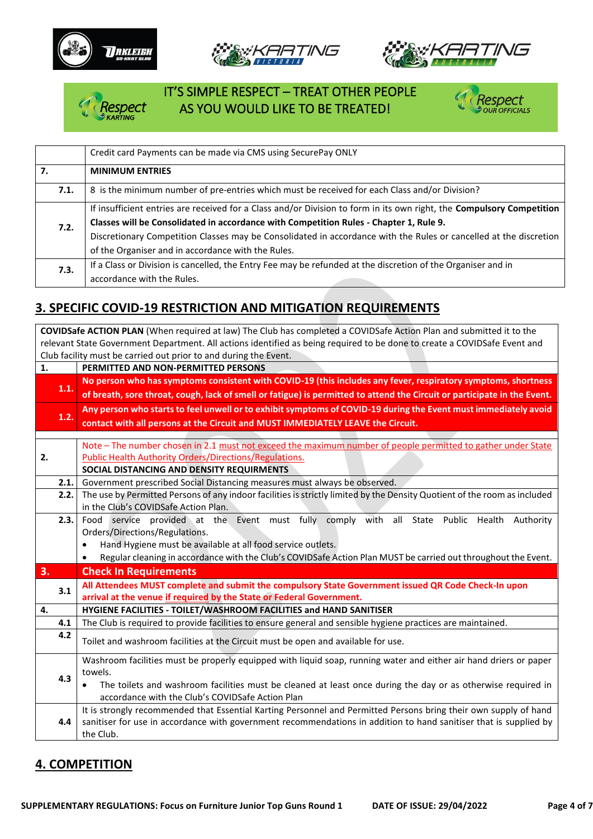







# IT'S SIMPLE RESPECT – TREAT OTHER PEOPLE espect AS YOU WOULD LIKE TO BE TREATED!



|      | Credit card Payments can be made via CMS using SecurePay ONLY                                                         |  |  |  |  |
|------|-----------------------------------------------------------------------------------------------------------------------|--|--|--|--|
| 7.   | <b>MINIMUM ENTRIES</b>                                                                                                |  |  |  |  |
| 7.1. | 8 is the minimum number of pre-entries which must be received for each Class and/or Division?                         |  |  |  |  |
|      | If insufficient entries are received for a Class and/or Division to form in its own right, the Compulsory Competition |  |  |  |  |
| 7.2. | Classes will be Consolidated in accordance with Competition Rules - Chapter 1, Rule 9.                                |  |  |  |  |
|      | Discretionary Competition Classes may be Consolidated in accordance with the Rules or cancelled at the discretion     |  |  |  |  |
|      | of the Organiser and in accordance with the Rules.                                                                    |  |  |  |  |
| 7.3. | If a Class or Division is cancelled, the Entry Fee may be refunded at the discretion of the Organiser and in          |  |  |  |  |
|      | accordance with the Rules.                                                                                            |  |  |  |  |

# **3. SPECIFIC COVID-19 RESTRICTION AND MITIGATION REQUIREMENTS**

**COVIDSafe ACTION PLAN** (When required at law) The Club has completed a COVIDSafe Action Plan and submitted it to the relevant State Government Department. All actions identified as being required to be done to create a COVIDSafe Event and Club facility must be carried out prior to and during the Event.

| 1.   | PERMITTED AND NON-PERMITTED PERSONS                                                                                       |  |  |  |  |  |  |
|------|---------------------------------------------------------------------------------------------------------------------------|--|--|--|--|--|--|
|      | No person who has symptoms consistent with COVID-19 (this includes any fever, respiratory symptoms, shortness             |  |  |  |  |  |  |
| 1.1. | of breath, sore throat, cough, lack of smell or fatigue) is permitted to attend the Circuit or participate in the Event.  |  |  |  |  |  |  |
|      | Any person who starts to feel unwell or to exhibit symptoms of COVID-19 during the Event must immediately avoid           |  |  |  |  |  |  |
| 1.2. | contact with all persons at the Circuit and MUST IMMEDIATELY LEAVE the Circuit.                                           |  |  |  |  |  |  |
|      |                                                                                                                           |  |  |  |  |  |  |
|      | Note - The number chosen in 2.1 must not exceed the maximum number of people permitted to gather under State              |  |  |  |  |  |  |
| 2.   | <b>Public Health Authority Orders/Directions/Regulations.</b>                                                             |  |  |  |  |  |  |
|      | SOCIAL DISTANCING AND DENSITY REQUIRMENTS                                                                                 |  |  |  |  |  |  |
| 2.1. | Government prescribed Social Distancing measures must always be observed.                                                 |  |  |  |  |  |  |
| 2.2. | The use by Permitted Persons of any indoor facilities is strictly limited by the Density Quotient of the room as included |  |  |  |  |  |  |
|      | in the Club's COVIDSafe Action Plan.                                                                                      |  |  |  |  |  |  |
| 2.3. | Food service provided at the Event must fully comply with all State Public Health Authority                               |  |  |  |  |  |  |
|      | Orders/Directions/Regulations.                                                                                            |  |  |  |  |  |  |
|      | Hand Hygiene must be available at all food service outlets.                                                               |  |  |  |  |  |  |
|      | Regular cleaning in accordance with the Club's COVIDSafe Action Plan MUST be carried out throughout the Event.            |  |  |  |  |  |  |
| 3.   | <b>Check In Requirements</b>                                                                                              |  |  |  |  |  |  |
| 3.1  | All Attendees MUST complete and submit the compulsory State Government issued QR Code Check-In upon                       |  |  |  |  |  |  |
|      | arrival at the venue if required by the State or Federal Government.                                                      |  |  |  |  |  |  |
| 4.   | HYGIENE FACILITIES - TOILET/WASHROOM FACILITIES and HAND SANITISER                                                        |  |  |  |  |  |  |
| 4.1  | The Club is required to provide facilities to ensure general and sensible hygiene practices are maintained.               |  |  |  |  |  |  |
| 4.2  | Toilet and washroom facilities at the Circuit must be open and available for use.                                         |  |  |  |  |  |  |
|      |                                                                                                                           |  |  |  |  |  |  |
|      | Washroom facilities must be properly equipped with liquid soap, running water and either air hand driers or paper         |  |  |  |  |  |  |
| 4.3  | towels.                                                                                                                   |  |  |  |  |  |  |
|      | The toilets and washroom facilities must be cleaned at least once during the day or as otherwise required in<br>$\bullet$ |  |  |  |  |  |  |
|      | accordance with the Club's COVIDSafe Action Plan                                                                          |  |  |  |  |  |  |
|      | It is strongly recommended that Essential Karting Personnel and Permitted Persons bring their own supply of hand          |  |  |  |  |  |  |
| 4.4  | sanitiser for use in accordance with government recommendations in addition to hand sanitiser that is supplied by         |  |  |  |  |  |  |
|      | the Club.                                                                                                                 |  |  |  |  |  |  |

### **4. COMPETITION**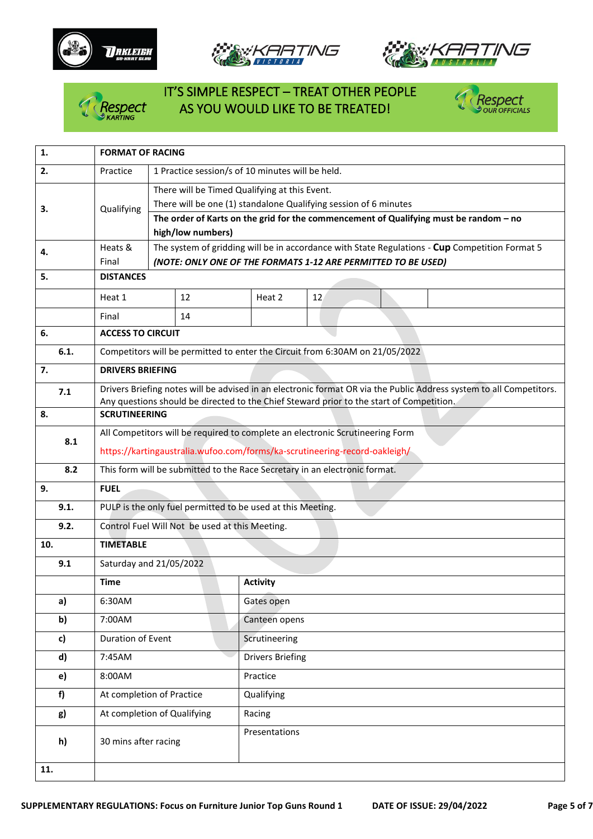







# IT'S SIMPLE RESPECT – TREAT OTHER PEOPLE Respect AS YOU WOULD LIKE TO BE TREATED!



| 1.   | <b>FORMAT OF RACING</b>                                                                                                                                                  |                                                                            |                                                                                                            |                         |    |  |  |  |  |                                                                                                                     |
|------|--------------------------------------------------------------------------------------------------------------------------------------------------------------------------|----------------------------------------------------------------------------|------------------------------------------------------------------------------------------------------------|-------------------------|----|--|--|--|--|---------------------------------------------------------------------------------------------------------------------|
| 2.   | Practice<br>1 Practice session/s of 10 minutes will be held.                                                                                                             |                                                                            |                                                                                                            |                         |    |  |  |  |  |                                                                                                                     |
|      |                                                                                                                                                                          | There will be Timed Qualifying at this Event.                              |                                                                                                            |                         |    |  |  |  |  |                                                                                                                     |
| 3.   | Qualifying                                                                                                                                                               | There will be one (1) standalone Qualifying session of 6 minutes           |                                                                                                            |                         |    |  |  |  |  |                                                                                                                     |
|      |                                                                                                                                                                          |                                                                            | The order of Karts on the grid for the commencement of Qualifying must be random - no<br>high/low numbers) |                         |    |  |  |  |  |                                                                                                                     |
|      | Heats &                                                                                                                                                                  |                                                                            |                                                                                                            |                         |    |  |  |  |  |                                                                                                                     |
| 4.   | The system of gridding will be in accordance with State Regulations - Cup Competition Format 5<br>Final<br>(NOTE: ONLY ONE OF THE FORMATS 1-12 ARE PERMITTED TO BE USED) |                                                                            |                                                                                                            |                         |    |  |  |  |  |                                                                                                                     |
| 5.   | <b>DISTANCES</b>                                                                                                                                                         |                                                                            |                                                                                                            |                         |    |  |  |  |  |                                                                                                                     |
|      | Heat 1                                                                                                                                                                   |                                                                            | 12                                                                                                         | Heat 2                  | 12 |  |  |  |  |                                                                                                                     |
|      | Final                                                                                                                                                                    |                                                                            | 14                                                                                                         |                         |    |  |  |  |  |                                                                                                                     |
| 6.   | <b>ACCESS TO CIRCUIT</b>                                                                                                                                                 |                                                                            |                                                                                                            |                         |    |  |  |  |  |                                                                                                                     |
| 6.1. |                                                                                                                                                                          |                                                                            | Competitors will be permitted to enter the Circuit from 6:30AM on 21/05/2022                               |                         |    |  |  |  |  |                                                                                                                     |
| 7.   | <b>DRIVERS BRIEFING</b>                                                                                                                                                  |                                                                            |                                                                                                            |                         |    |  |  |  |  |                                                                                                                     |
| 7.1  |                                                                                                                                                                          |                                                                            |                                                                                                            |                         |    |  |  |  |  | Drivers Briefing notes will be advised in an electronic format OR via the Public Address system to all Competitors. |
| 8.   | <b>SCRUTINEERING</b>                                                                                                                                                     |                                                                            | Any questions should be directed to the Chief Steward prior to the start of Competition.                   |                         |    |  |  |  |  |                                                                                                                     |
|      | All Competitors will be required to complete an electronic Scrutineering Form                                                                                            |                                                                            |                                                                                                            |                         |    |  |  |  |  |                                                                                                                     |
| 8.1  |                                                                                                                                                                          | https://kartingaustralia.wufoo.com/forms/ka-scrutineering-record-oakleigh/ |                                                                                                            |                         |    |  |  |  |  |                                                                                                                     |
| 8.2  | This form will be submitted to the Race Secretary in an electronic format.                                                                                               |                                                                            |                                                                                                            |                         |    |  |  |  |  |                                                                                                                     |
| 9.   | <b>FUEL</b>                                                                                                                                                              |                                                                            |                                                                                                            |                         |    |  |  |  |  |                                                                                                                     |
| 9.1. | PULP is the only fuel permitted to be used at this Meeting.                                                                                                              |                                                                            |                                                                                                            |                         |    |  |  |  |  |                                                                                                                     |
| 9.2. | Control Fuel Will Not be used at this Meeting.                                                                                                                           |                                                                            |                                                                                                            |                         |    |  |  |  |  |                                                                                                                     |
| 10.  | <b>TIMETABLE</b>                                                                                                                                                         |                                                                            |                                                                                                            |                         |    |  |  |  |  |                                                                                                                     |
| 9.1  | Saturday and 21/05/2022                                                                                                                                                  |                                                                            |                                                                                                            |                         |    |  |  |  |  |                                                                                                                     |
|      | <b>Time</b>                                                                                                                                                              |                                                                            |                                                                                                            | <b>Activity</b>         |    |  |  |  |  |                                                                                                                     |
| a)   | 6:30AM                                                                                                                                                                   |                                                                            |                                                                                                            | Gates open              |    |  |  |  |  |                                                                                                                     |
| b)   | 7:00AM                                                                                                                                                                   |                                                                            |                                                                                                            | Canteen opens           |    |  |  |  |  |                                                                                                                     |
| c)   | Duration of Event                                                                                                                                                        |                                                                            |                                                                                                            | Scrutineering           |    |  |  |  |  |                                                                                                                     |
| d)   | 7:45AM                                                                                                                                                                   |                                                                            |                                                                                                            | <b>Drivers Briefing</b> |    |  |  |  |  |                                                                                                                     |
| e)   | 8:00AM                                                                                                                                                                   |                                                                            |                                                                                                            | Practice                |    |  |  |  |  |                                                                                                                     |
| f)   | At completion of Practice                                                                                                                                                |                                                                            |                                                                                                            | Qualifying              |    |  |  |  |  |                                                                                                                     |
| g)   | At completion of Qualifying                                                                                                                                              |                                                                            |                                                                                                            | Racing                  |    |  |  |  |  |                                                                                                                     |
| h)   | 30 mins after racing                                                                                                                                                     |                                                                            |                                                                                                            | Presentations           |    |  |  |  |  |                                                                                                                     |
| 11.  |                                                                                                                                                                          |                                                                            |                                                                                                            |                         |    |  |  |  |  |                                                                                                                     |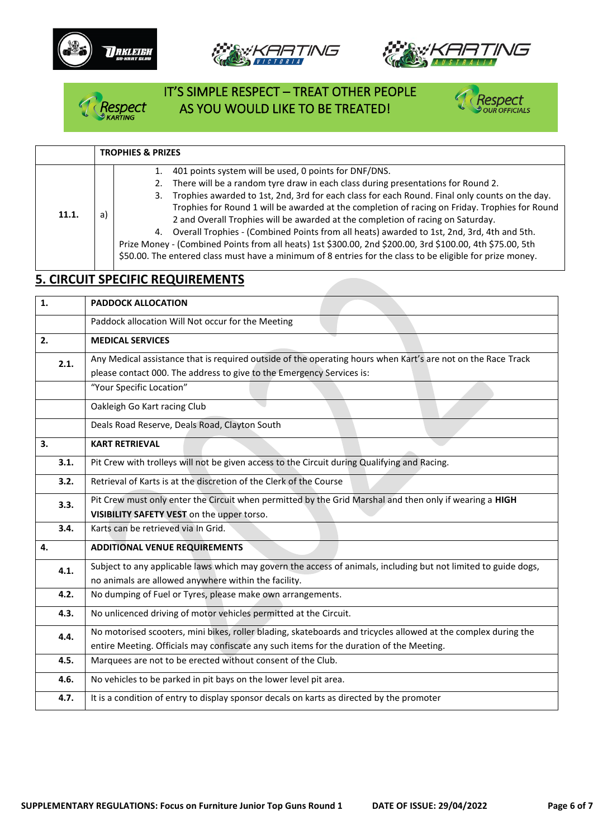







# IT'S SIMPLE RESPECT – TREAT OTHER PEOPLE Respect AS YOU WOULD LIKE TO BE TREATED!



|       |    | <b>TROPHIES &amp; PRIZES</b>                                                                                                                                                                                                                                                                                                                                                                                                                                                                                                                                                                                                                                                                                                                                      |
|-------|----|-------------------------------------------------------------------------------------------------------------------------------------------------------------------------------------------------------------------------------------------------------------------------------------------------------------------------------------------------------------------------------------------------------------------------------------------------------------------------------------------------------------------------------------------------------------------------------------------------------------------------------------------------------------------------------------------------------------------------------------------------------------------|
| 11.1. | a) | 401 points system will be used, 0 points for DNF/DNS.<br>There will be a random tyre draw in each class during presentations for Round 2.<br>Trophies awarded to 1st, 2nd, 3rd for each class for each Round. Final only counts on the day.<br>3.<br>Trophies for Round 1 will be awarded at the completion of racing on Friday. Trophies for Round<br>2 and Overall Trophies will be awarded at the completion of racing on Saturday.<br>4. Overall Trophies - (Combined Points from all heats) awarded to 1st, 2nd, 3rd, 4th and 5th.<br>Prize Money - (Combined Points from all heats) 1st \$300.00, 2nd \$200.00, 3rd \$100.00, 4th \$75.00, 5th<br>\$50.00. The entered class must have a minimum of 8 entries for the class to be eligible for prize money. |

# **5. CIRCUIT SPECIFIC REQUIREMENTS**

| 1.   | <b>PADDOCK ALLOCATION</b>                                                                                                                                                             |  |  |  |  |  |
|------|---------------------------------------------------------------------------------------------------------------------------------------------------------------------------------------|--|--|--|--|--|
|      | Paddock allocation Will Not occur for the Meeting                                                                                                                                     |  |  |  |  |  |
| 2.   | <b>MEDICAL SERVICES</b>                                                                                                                                                               |  |  |  |  |  |
| 2.1. | Any Medical assistance that is required outside of the operating hours when Kart's are not on the Race Track<br>please contact 000. The address to give to the Emergency Services is: |  |  |  |  |  |
|      | "Your Specific Location"                                                                                                                                                              |  |  |  |  |  |
|      | Oakleigh Go Kart racing Club                                                                                                                                                          |  |  |  |  |  |
|      | Deals Road Reserve, Deals Road, Clayton South                                                                                                                                         |  |  |  |  |  |
| 3.   | <b>KART RETRIEVAL</b>                                                                                                                                                                 |  |  |  |  |  |
| 3.1. | Pit Crew with trolleys will not be given access to the Circuit during Qualifying and Racing.                                                                                          |  |  |  |  |  |
| 3.2. | Retrieval of Karts is at the discretion of the Clerk of the Course                                                                                                                    |  |  |  |  |  |
| 3.3. | Pit Crew must only enter the Circuit when permitted by the Grid Marshal and then only if wearing a HIGH                                                                               |  |  |  |  |  |
|      | VISIBILITY SAFETY VEST on the upper torso.                                                                                                                                            |  |  |  |  |  |
| 3.4. | Karts can be retrieved via In Grid.                                                                                                                                                   |  |  |  |  |  |
| 4.   | <b>ADDITIONAL VENUE REQUIREMENTS</b>                                                                                                                                                  |  |  |  |  |  |
| 4.1. | Subject to any applicable laws which may govern the access of animals, including but not limited to guide dogs,                                                                       |  |  |  |  |  |
|      | no animals are allowed anywhere within the facility.                                                                                                                                  |  |  |  |  |  |
| 4.2. | No dumping of Fuel or Tyres, please make own arrangements.                                                                                                                            |  |  |  |  |  |
| 4.3. | No unlicenced driving of motor vehicles permitted at the Circuit.                                                                                                                     |  |  |  |  |  |
| 4.4. | No motorised scooters, mini bikes, roller blading, skateboards and tricycles allowed at the complex during the                                                                        |  |  |  |  |  |
|      | entire Meeting. Officials may confiscate any such items for the duration of the Meeting.                                                                                              |  |  |  |  |  |
| 4.5. | Marquees are not to be erected without consent of the Club.                                                                                                                           |  |  |  |  |  |
| 4.6. | No vehicles to be parked in pit bays on the lower level pit area.                                                                                                                     |  |  |  |  |  |
| 4.7. | It is a condition of entry to display sponsor decals on karts as directed by the promoter                                                                                             |  |  |  |  |  |